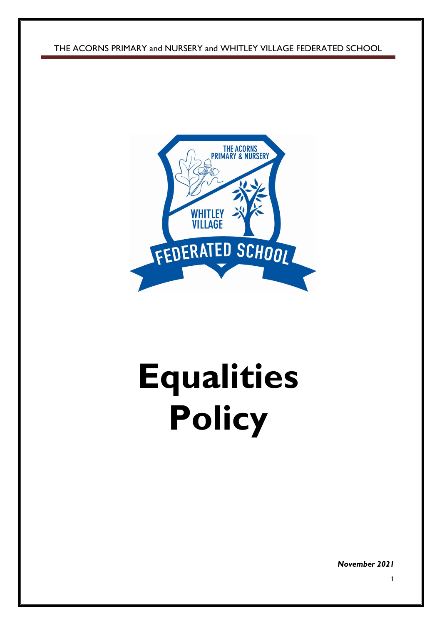THE ACORNS PRIMARY and NURSERY and WHITLEY VILLAGE FEDERATED SCHOOL



# **Equalities Policy**

*November 2021*

1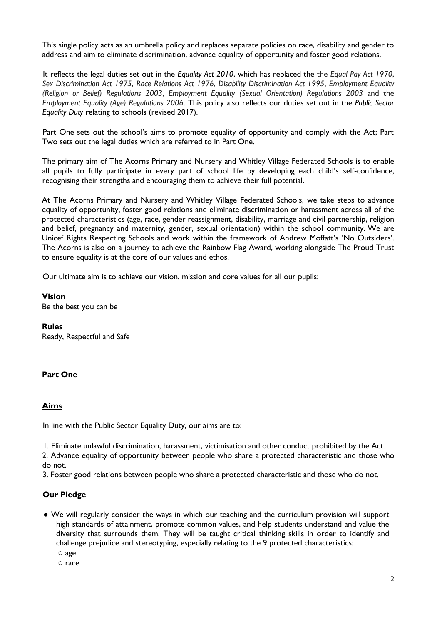This single policy acts as an umbrella policy and replaces separate policies on race, disability and gender to address and aim to eliminate discrimination, advance equality of opportunity and foster good relations.

It reflects the legal duties set out in the *Equality Act 2010*, which has replaced the the *Equal Pay Act 1970*, *Sex Discrimination Act 1975*, *Race Relations Act 1976*, *Disability Discrimination Act 1995*, *Employment Equality (Religion or Belief) Regulations 2003*, *Employment Equality (Sexual Orientation) Regulations 2003* and the *Employment Equality (Age) Regulations 2006*. This policy also reflects our duties set out in the *Public Sector Equality Duty* relating to schools (revised 2017).

Part One sets out the school's aims to promote equality of opportunity and comply with the Act; Part Two sets out the legal duties which are referred to in Part One.

The primary aim of The Acorns Primary and Nursery and Whitley Village Federated Schools is to enable all pupils to fully participate in every part of school life by developing each child's self-confidence, recognising their strengths and encouraging them to achieve their full potential.

At The Acorns Primary and Nursery and Whitley Village Federated Schools, we take steps to advance equality of opportunity, foster good relations and eliminate discrimination or harassment across all of the protected characteristics (age, race, gender reassignment, disability, marriage and civil partnership, religion and belief, pregnancy and maternity, gender, sexual orientation) within the school community. We are Unicef Rights Respecting Schools and work within the framework of Andrew Moffatt's 'No Outsiders'. The Acorns is also on a journey to achieve the Rainbow Flag Award, working alongside The Proud Trust to ensure equality is at the core of our values and ethos.

Our ultimate aim is to achieve our vision, mission and core values for all our pupils:

**Vision** Be the best you can be

**Rules**

Ready, Respectful and Safe

# **Part One**

#### **Aims**

In line with the Public Sector Equality Duty, our aims are to:

1. Eliminate unlawful discrimination, harassment, victimisation and other conduct prohibited by the Act.

2. Advance equality of opportunity between people who share a protected characteristic and those who do not.

3. Foster good relations between people who share a protected characteristic and those who do not.

#### **Our Pledge**

- We will regularly consider the ways in which our teaching and the curriculum provision will support high standards of attainment, promote common values, and help students understand and value the diversity that surrounds them. They will be taught critical thinking skills in order to identify and challenge prejudice and stereotyping, especially relating to the 9 protected characteristics:
	- age
	- race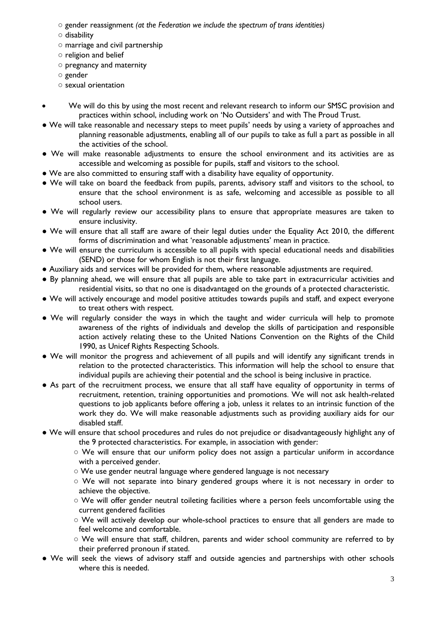- gender reassignment *(at the Federation we include the spectrum of trans identities)*
- disability
- marriage and civil partnership
- religion and belief
- pregnancy and maternity
- gender
- sexual orientation
- We will do this by using the most recent and relevant research to inform our SMSC provision and practices within school, including work on 'No Outsiders' and with The Proud Trust.
- We will take reasonable and necessary steps to meet pupils' needs by using a variety of approaches and planning reasonable adjustments, enabling all of our pupils to take as full a part as possible in all the activities of the school.
- We will make reasonable adjustments to ensure the school environment and its activities are as accessible and welcoming as possible for pupils, staff and visitors to the school.
- We are also committed to ensuring staff with a disability have equality of opportunity.
- We will take on board the feedback from pupils, parents, advisory staff and visitors to the school, to ensure that the school environment is as safe, welcoming and accessible as possible to all school users.
- We will regularly review our accessibility plans to ensure that appropriate measures are taken to ensure inclusivity.
- We will ensure that all staff are aware of their legal duties under the Equality Act 2010, the different forms of discrimination and what 'reasonable adjustments' mean in practice.
- We will ensure the curriculum is accessible to all pupils with special educational needs and disabilities (SEND) or those for whom English is not their first language.
- Auxiliary aids and services will be provided for them, where reasonable adjustments are required.
- By planning ahead, we will ensure that all pupils are able to take part in extracurricular activities and residential visits, so that no one is disadvantaged on the grounds of a protected characteristic.
- We will actively encourage and model positive attitudes towards pupils and staff, and expect everyone to treat others with respect.
- We will regularly consider the ways in which the taught and wider curricula will help to promote awareness of the rights of individuals and develop the skills of participation and responsible action actively relating these to the United Nations Convention on the Rights of the Child 1990, as Unicef Rights Respecting Schools.
- We will monitor the progress and achievement of all pupils and will identify any significant trends in relation to the protected characteristics. This information will help the school to ensure that individual pupils are achieving their potential and the school is being inclusive in practice.
- As part of the recruitment process, we ensure that all staff have equality of opportunity in terms of recruitment, retention, training opportunities and promotions. We will not ask health-related questions to job applicants before offering a job, unless it relates to an intrinsic function of the work they do. We will make reasonable adjustments such as providing auxiliary aids for our disabled staff.
- We will ensure that school procedures and rules do not prejudice or disadvantageously highlight any of the 9 protected characteristics. For example, in association with gender:
	- We will ensure that our uniform policy does not assign a particular uniform in accordance with a perceived gender.
	- We use gender neutral language where gendered language is not necessary
	- We will not separate into binary gendered groups where it is not necessary in order to achieve the objective.
	- We will offer gender neutral toileting facilities where a person feels uncomfortable using the current gendered facilities
	- We will actively develop our whole-school practices to ensure that all genders are made to feel welcome and comfortable.
	- We will ensure that staff, children, parents and wider school community are referred to by their preferred pronoun if stated.
- We will seek the views of advisory staff and outside agencies and partnerships with other schools where this is needed.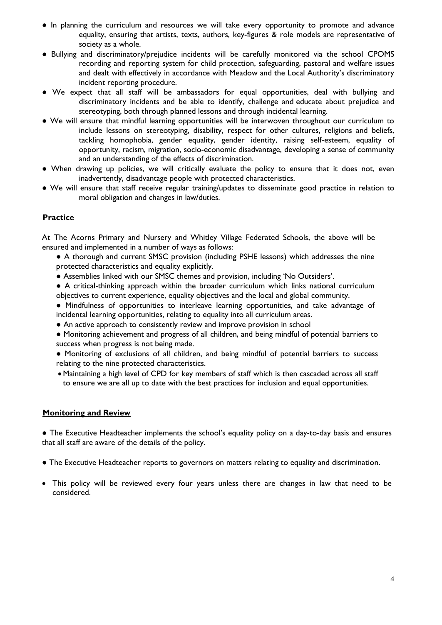- In planning the curriculum and resources we will take every opportunity to promote and advance equality, ensuring that artists, texts, authors, key-figures & role models are representative of society as a whole.
- Bullying and discriminatory/prejudice incidents will be carefully monitored via the school CPOMS recording and reporting system for child protection, safeguarding, pastoral and welfare issues and dealt with effectively in accordance with Meadow and the Local Authority's discriminatory incident reporting procedure.
- We expect that all staff will be ambassadors for equal opportunities, deal with bullying and discriminatory incidents and be able to identify, challenge and educate about prejudice and stereotyping, both through planned lessons and through incidental learning.
- We will ensure that mindful learning opportunities will be interwoven throughout our curriculum to include lessons on stereotyping, disability, respect for other cultures, religions and beliefs, tackling homophobia, gender equality, gender identity, raising self-esteem, equality of opportunity, racism, migration, socio-economic disadvantage, developing a sense of community and an understanding of the effects of discrimination.
- When drawing up policies, we will critically evaluate the policy to ensure that it does not, even inadvertently, disadvantage people with protected characteristics.
- We will ensure that staff receive regular training/updates to disseminate good practice in relation to moral obligation and changes in law/duties.

# **Practice**

At The Acorns Primary and Nursery and Whitley Village Federated Schools, the above will be ensured and implemented in a number of ways as follows:

- A thorough and current SMSC provision (including PSHE lessons) which addresses the nine protected characteristics and equality explicitly.
- Assemblies linked with our SMSC themes and provision, including 'No Outsiders'.
- A critical-thinking approach within the broader curriculum which links national curriculum objectives to current experience, equality objectives and the local and global community.
- Mindfulness of opportunities to interleave learning opportunities, and take advantage of incidental learning opportunities, relating to equality into all curriculum areas.
- An active approach to consistently review and improve provision in school
- Monitoring achievement and progress of all children, and being mindful of potential barriers to success when progress is not being made.
- Monitoring of exclusions of all children, and being mindful of potential barriers to success relating to the nine protected characteristics.
- Maintaining a high level of CPD for key members of staff which is then cascaded across all staff to ensure we are all up to date with the best practices for inclusion and equal opportunities.

# **Monitoring and Review**

● The Executive Headteacher implements the school's equality policy on a day-to-day basis and ensures that all staff are aware of the details of the policy.

- The Executive Headteacher reports to governors on matters relating to equality and discrimination.
- This policy will be reviewed every four years unless there are changes in law that need to be considered.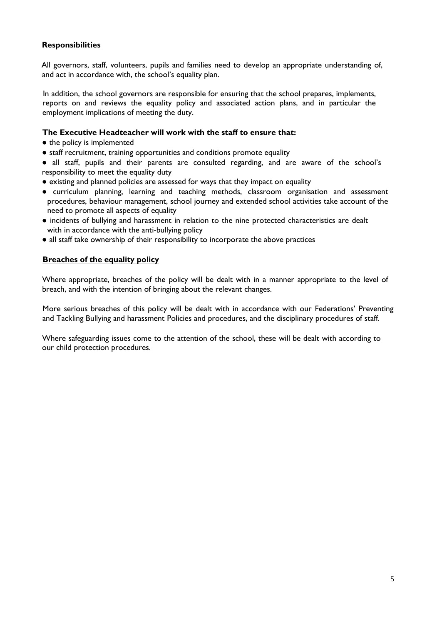# **Responsibilities**

All governors, staff, volunteers, pupils and families need to develop an appropriate understanding of, and act in accordance with, the school's equality plan.

In addition, the school governors are responsible for ensuring that the school prepares, implements, reports on and reviews the equality policy and associated action plans, and in particular the employment implications of meeting the duty.

#### **The Executive Headteacher will work with the staff to ensure that:**

- the policy is implemented
- staff recruitment, training opportunities and conditions promote equality

● all staff, pupils and their parents are consulted regarding, and are aware of the school's responsibility to meet the equality duty

- existing and planned policies are assessed for ways that they impact on equality
- curriculum planning, learning and teaching methods, classroom organisation and assessment procedures, behaviour management, school journey and extended school activities take account of the need to promote all aspects of equality
- incidents of bullying and harassment in relation to the nine protected characteristics are dealt with in accordance with the anti-bullying policy
- all staff take ownership of their responsibility to incorporate the above practices

# **Breaches of the equality policy**

Where appropriate, breaches of the policy will be dealt with in a manner appropriate to the level of breach, and with the intention of bringing about the relevant changes.

More serious breaches of this policy will be dealt with in accordance with our Federations' Preventing and Tackling Bullying and harassment Policies and procedures, and the disciplinary procedures of staff.

Where safeguarding issues come to the attention of the school, these will be dealt with according to our child protection procedures.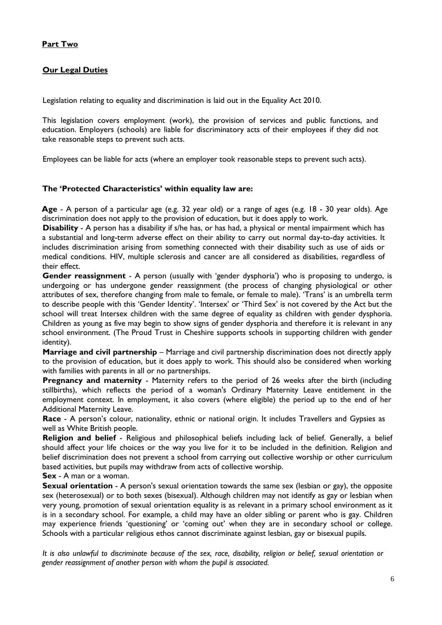# **Part Two**

# **Our Legal Duties**

Legislation relating to equality and discrimination is laid out in the Equality Act 2010.

This legislation covers employment (work), the provision of services and public functions, and education. Employers (schools) are liable for discriminatory acts of their employees if they did not take reasonable steps to prevent such acts.

Employees can be liable for acts (where an employer took reasonable steps to prevent such acts).

## **The 'Protected Characteristics' within equality law are:**

**Age** - A person of a particular age (e.g. 32 year old) or a range of ages (e.g. 18 - 30 year olds). Age discrimination does not apply to the provision of education, but it does apply to work.

**Disability** - A person has a disability if s/he has, or has had, a physical or mental impairment which has a substantial and long-term adverse effect on their ability to carry out normal day-to-day activities. It includes discrimination arising from something connected with their disability such as use of aids or medical conditions. HIV, multiple sclerosis and cancer are all considered as disabilities, regardless of their effect.

**Gender reassignment** - A person (usually with 'gender dysphoria') who is proposing to undergo, is undergoing or has undergone gender reassignment (the process of changing physiological or other attributes of sex, therefore changing from male to female, or female to male). 'Trans' is an umbrella term to describe people with this 'Gender Identity'. 'Intersex' or 'Third Sex' is not covered by the Act but the school will treat Intersex children with the same degree of equality as children with gender dysphoria. Children as young as five may begin to show signs of gender dysphoria and therefore it is relevant in any school environment. (The Proud Trust in Cheshire supports schools in supporting children with gender identity).

**Marriage and civil partnership** – Marriage and civil partnership discrimination does not directly apply to the provision of education, but it does apply to work. This should also be considered when working with families with parents in all or no partnerships.

Pregnancy and maternity - Maternity refers to the period of 26 weeks after the birth (including stillbirths), which reflects the period of a woman's Ordinary Maternity Leave entitlement in the employment context. In employment, it also covers (where eligible) the period up to the end of her Additional Maternity Leave.

**Race** - A person's colour, nationality, ethnic or national origin. It includes Travellers and Gypsies as well as White British people.

**Religion and belief** - Religious and philosophical beliefs including lack of belief. Generally, a belief should affect your life choices or the way you live for it to be included in the definition. Religion and belief discrimination does not prevent a school from carrying out collective worship or other curriculum based activities, but pupils may withdraw from acts of collective worship.

**Sex** - A man or a woman.

**Sexual orientation** - A person's sexual orientation towards the same sex (lesbian or gay), the opposite sex (heterosexual) or to both sexes (bisexual). Although children may not identify as gay or lesbian when very young, promotion of sexual orientation equality is as relevant in a primary school environment as it is in a secondary school. For example, a child may have an older sibling or parent who is gay. Children may experience friends 'questioning' or 'coming out' when they are in secondary school or college. Schools with a particular religious ethos cannot discriminate against lesbian, gay or bisexual pupils.

*It is also unlawful to discriminate because of the sex, race, disability, religion or belief, sexual orientation or gender reassignment of another person with whom the pupil is associated.*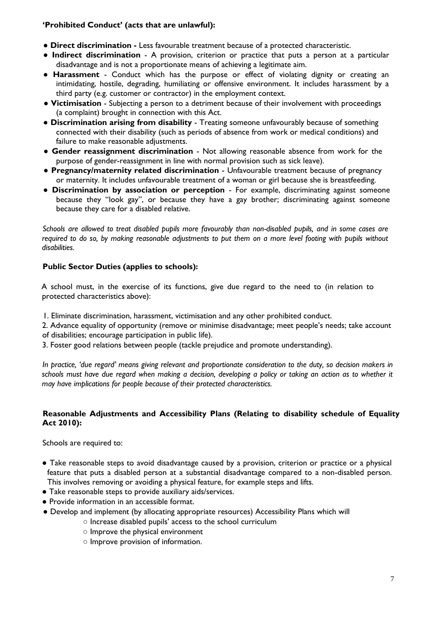# **'Prohibited Conduct' (acts that are unlawful):**

- **Direct discrimination -** Less favourable treatment because of a protected characteristic.
- **Indirect discrimination**  A provision, criterion or practice that puts a person at a particular disadvantage and is not a proportionate means of achieving a legitimate aim.
- **Harassment**  Conduct which has the purpose or effect of violating dignity or creating an intimidating, hostile, degrading, humiliating or offensive environment. It includes harassment by a third party (e.g. customer or contractor) in the employment context.
- **Victimisation**  Subjecting a person to a detriment because of their involvement with proceedings (a complaint) brought in connection with this Act.
- **Discrimination arising from disability**  Treating someone unfavourably because of something connected with their disability (such as periods of absence from work or medical conditions) and failure to make reasonable adjustments.
- **Gender reassignment discrimination**  Not allowing reasonable absence from work for the purpose of gender-reassignment in line with normal provision such as sick leave).
- **Pregnancy/maternity related discrimination**  Unfavourable treatment because of pregnancy or maternity. It includes unfavourable treatment of a woman or girl because she is breastfeeding.
- **Discrimination by association or perception**  For example, discriminating against someone because they "look gay", or because they have a gay brother; discriminating against someone because they care for a disabled relative.

*Schools are allowed to treat disabled pupils more favourably than non-disabled pupils, and in some cases are required to do so, by making reasonable adjustments to put them on a more level footing with pupils without disabilities.*

# **Public Sector Duties (applies to schools):**

A school must, in the exercise of its functions, give due regard to the need to (in relation to protected characteristics above):

- 1. Eliminate discrimination, harassment, victimisation and any other prohibited conduct.
- 2. Advance equality of opportunity (remove or minimise disadvantage; meet people's needs; take account of disabilities; encourage participation in public life).
- 3. Foster good relations between people (tackle prejudice and promote understanding).

*In practice, 'due regard' means giving relevant and proportionate consideration to the duty, so decision makers in schools must have due regard when making a decision, developing a policy or taking an action as to whether it may have implications for people because of their protected characteristics.*

# **Reasonable Adjustments and Accessibility Plans (Relating to disability schedule of Equality Act 2010):**

Schools are required to:

- Take reasonable steps to avoid disadvantage caused by a provision, criterion or practice or a physical feature that puts a disabled person at a substantial disadvantage compared to a non-disabled person. This involves removing or avoiding a physical feature, for example steps and lifts.
- Take reasonable steps to provide auxiliary aids/services.
- Provide information in an accessible format.
- Develop and implement (by allocating appropriate resources) Accessibility Plans which will
	- Increase disabled pupils' access to the school curriculum
	- Improve the physical environment
	- Improve provision of information.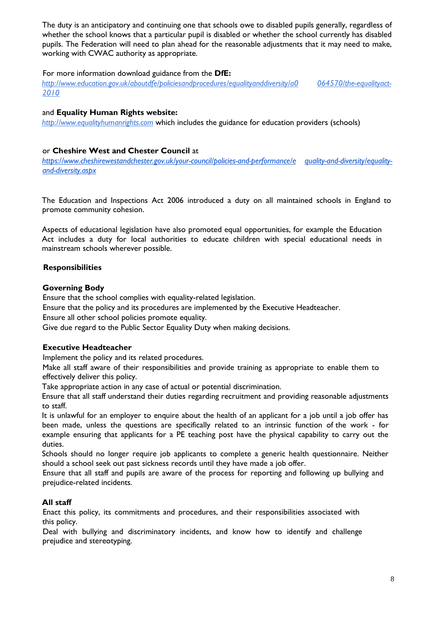The duty is an anticipatory and continuing one that schools owe to disabled pupils generally, regardless of whether the school knows that a particular pupil is disabled or whether the school currently has disabled pupils. The Federation will need to plan ahead for the reasonable adjustments that it may need to make, working with CWAC authority as appropriate.

# For more information download guidance from the **DfE:**

*http://www.education.gov.uk/aboutdfe/policiesandprocedures/equalityanddiversity/a0 064570/the-equalityact-2010*

# and **Equality Human Rights website:**

*http://www.equalityhumanrights.com* which includes the guidance for education providers (schools)

# or **Cheshire West and Chester Council** at

*https://www.cheshirewestandchester.gov.uk/your-council/policies-and-performance/e quality-and-diversity/equalityand-diversity.aspx*

The Education and Inspections Act 2006 introduced a duty on all maintained schools in England to promote community cohesion.

Aspects of educational legislation have also promoted equal opportunities, for example the Education Act includes a duty for local authorities to educate children with special educational needs in mainstream schools wherever possible.

# **Responsibilities**

# **Governing Body**

Ensure that the school complies with equality-related legislation.

Ensure that the policy and its procedures are implemented by the Executive Headteacher.

Ensure all other school policies promote equality.

Give due regard to the Public Sector Equality Duty when making decisions.

# **Executive Headteacher**

Implement the policy and its related procedures.

Make all staff aware of their responsibilities and provide training as appropriate to enable them to effectively deliver this policy.

Take appropriate action in any case of actual or potential discrimination.

Ensure that all staff understand their duties regarding recruitment and providing reasonable adjustments to staff.

It is unlawful for an employer to enquire about the health of an applicant for a job until a job offer has been made, unless the questions are specifically related to an intrinsic function of the work - for example ensuring that applicants for a PE teaching post have the physical capability to carry out the duties.

Schools should no longer require job applicants to complete a generic health questionnaire. Neither should a school seek out past sickness records until they have made a job offer.

Ensure that all staff and pupils are aware of the process for reporting and following up bullying and prejudice-related incidents.

# **All staff**

Enact this policy, its commitments and procedures, and their responsibilities associated with this policy.

Deal with bullying and discriminatory incidents, and know how to identify and challenge prejudice and stereotyping.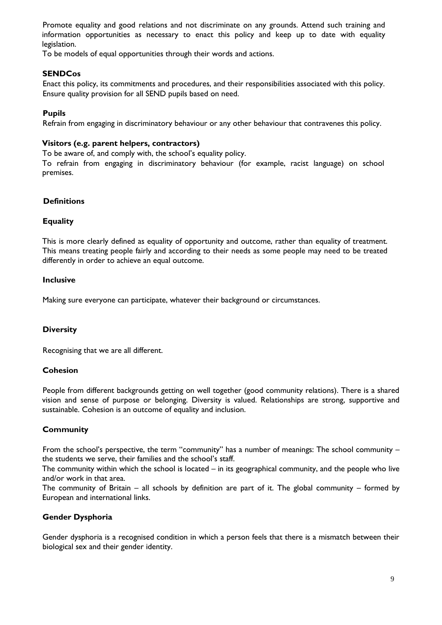Promote equality and good relations and not discriminate on any grounds. Attend such training and information opportunities as necessary to enact this policy and keep up to date with equality legislation.

To be models of equal opportunities through their words and actions.

# **SENDCos**

Enact this policy, its commitments and procedures, and their responsibilities associated with this policy. Ensure quality provision for all SEND pupils based on need.

## **Pupils**

Refrain from engaging in discriminatory behaviour or any other behaviour that contravenes this policy.

#### **Visitors (e.g. parent helpers, contractors)**

To be aware of, and comply with, the school's equality policy.

To refrain from engaging in discriminatory behaviour (for example, racist language) on school premises.

## **Definitions**

## **Equality**

This is more clearly defined as equality of opportunity and outcome, rather than equality of treatment. This means treating people fairly and according to their needs as some people may need to be treated differently in order to achieve an equal outcome.

#### **Inclusive**

Making sure everyone can participate, whatever their background or circumstances.

# **Diversity**

Recognising that we are all different.

#### **Cohesion**

People from different backgrounds getting on well together (good community relations). There is a shared vision and sense of purpose or belonging. Diversity is valued. Relationships are strong, supportive and sustainable. Cohesion is an outcome of equality and inclusion.

# **Community**

From the school's perspective, the term "community" has a number of meanings: The school community – the students we serve, their families and the school's staff.

The community within which the school is located – in its geographical community, and the people who live and/or work in that area.

The community of Britain – all schools by definition are part of it. The global community – formed by European and international links.

# **Gender Dysphoria**

Gender dysphoria is a recognised condition in which a person feels that there is a mismatch between their biological sex and their gender identity.